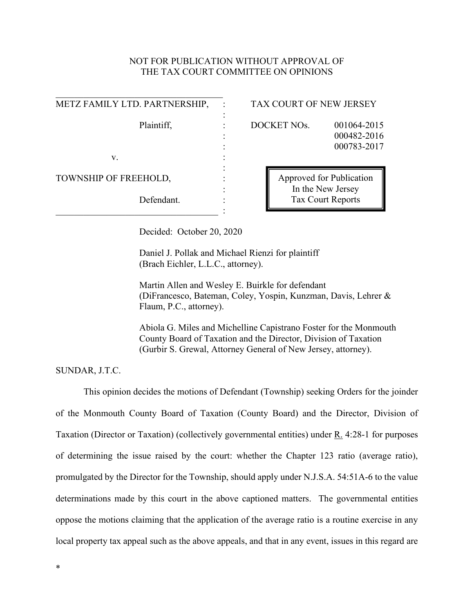# NOT FOR PUBLICATION WITHOUT APPROVAL OF THE TAX COURT COMMITTEE ON OPINIONS

| METZ FAMILY LTD. PARTNERSHIP, | TAX CO       |
|-------------------------------|--------------|
|                               |              |
| Plaintiff,                    | <b>DOCKE</b> |
|                               |              |
|                               |              |
| V.                            |              |
|                               |              |
| TOWNSHIP OF FREEHOLD,         |              |
|                               |              |
| Defendant.                    |              |
|                               |              |

### TAX COURT OF NEW JERSEY

**POCKET NOs.** 001064-2015

: 000482-2016 : 000783-2017

Approved for Publication In the New Jersey Tax Court Reports

Decided: October 20, 2020

Daniel J. Pollak and Michael Rienzi for plaintiff (Brach Eichler, L.L.C., attorney).

Martin Allen and Wesley E. Buirkle for defendant (DiFrancesco, Bateman, Coley, Yospin, Kunzman, Davis, Lehrer & Flaum, P.C., attorney).

Abiola G. Miles and Michelline Capistrano Foster for the Monmouth County Board of Taxation and the Director, Division of Taxation (Gurbir S. Grewal, Attorney General of New Jersey, attorney).

SUNDAR, J.T.C.

This opinion decides the motions of Defendant (Township) seeking Orders for the joinder of the Monmouth County Board of Taxation (County Board) and the Director, Division of Taxation (Director or Taxation) (collectively governmental entities) under R. 4:28-1 for purposes of determining the issue raised by the court: whether the Chapter 123 ratio (average ratio), promulgated by the Director for the Township, should apply under N.J.S.A. 54:51A-6 to the value determinations made by this court in the above captioned matters. The governmental entities oppose the motions claiming that the application of the average ratio is a routine exercise in any local property tax appeal such as the above appeals, and that in any event, issues in this regard are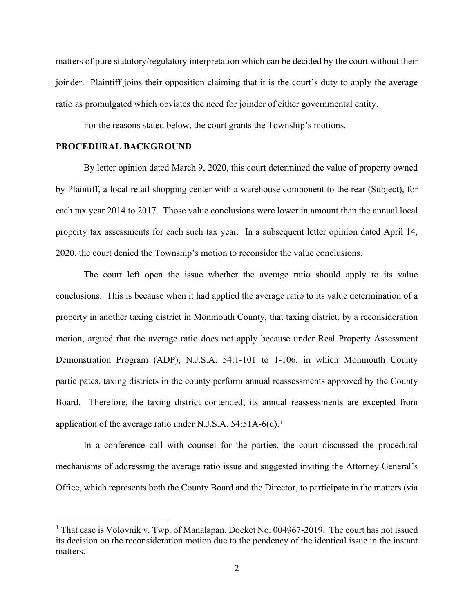matters of pure statutory/regulatory interpretation which can be decided by the court without their joinder. Plaintiff joins their opposition claiming that it is the court's duty to apply the average ratio as promulgated which obviates the need for joinder of either governmental entity.

For the reasons stated below, the court grants the Township's motions.

## **PROCEDURAL BACKGROUND**

By letter opinion dated March 9, 2020, this court determined the value of property owned by Plaintiff, a local retail shopping center with a warehouse component to the rear (Subject), for each tax year 2014 to 2017. Those value conclusions were lower in amount than the annual local property tax assessments for each such tax year. In a subsequent letter opinion dated April 14, 2020, the court denied the Township's motion to reconsider the value conclusions.

The court left open the issue whether the average ratio should apply to its value conclusions. This is because when it had applied the average ratio to its value determination of a property in another taxing district in Monmouth County, that taxing district, by a reconsideration motion, argued that the average ratio does not apply because under Real Property Assessment Demonstration Program (ADP), N.J.S.A. 54:1-101 to 1-106, in which Monmouth County participates, taxing districts in the county perform annual reassessments approved by the County Board. Therefore, the taxing district contended, its annual reassessments are excepted from application of the average ratio under N.J.S.A. 54:5[1](#page-1-0)A-6(d).<sup>1</sup>

In a conference call with counsel for the parties, the court discussed the procedural mechanisms of addressing the average ratio issue and suggested inviting the Attorney General's Office, which represents both the County Board and the Director, to participate in the matters (via

<span id="page-1-0"></span><sup>&</sup>lt;sup>1</sup> That case is Volovnik v. Twp. of Manalapan, Docket No. 004967-2019. The court has not issued its decision on the reconsideration motion due to the pendency of the identical issue in the instant matters.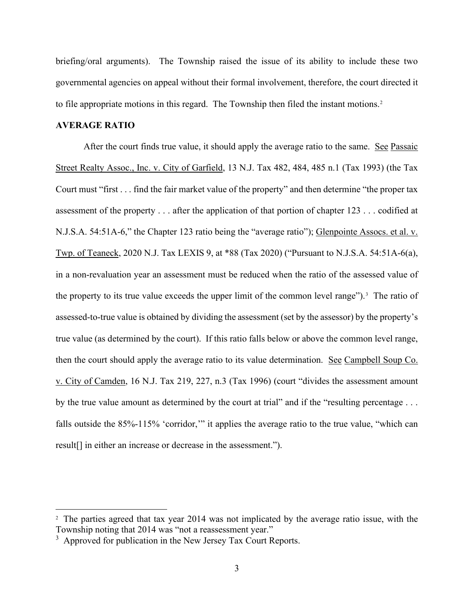briefing/oral arguments). The Township raised the issue of its ability to include these two governmental agencies on appeal without their formal involvement, therefore, the court directed it to file appropriate motions in this regard. The Township then filed the instant motions.<sup>[2](#page-2-0)</sup>

## **AVERAGE RATIO**

After the court finds true value, it should apply the average ratio to the same. See Passaic Street Realty Assoc., Inc. v. City of Garfield, 13 N.J. Tax 482, 484, 485 n.1 (Tax 1993) (the Tax Court must "first . . . find the fair market value of the property" and then determine "the proper tax assessment of the property . . . after the application of that portion of chapter 123 . . . codified at N.J.S.A. 54:51A-6," the Chapter 123 ratio being the "average ratio"); Glenpointe Assocs. et al. v. Twp. of Teaneck, 2020 N.J. Tax LEXIS 9, at \*88 (Tax 2020) ("Pursuant to N.J.S.A. 54:51A-6(a), in a non-revaluation year an assessment must be reduced when the ratio of the assessed value of the property to its true value exceeds the upper limit of the common level range").<sup>[3](#page-2-1)</sup> The ratio of assessed-to-true value is obtained by dividing the assessment (set by the assessor) by the property's true value (as determined by the court). If this ratio falls below or above the common level range, then the court should apply the average ratio to its value determination. See Campbell Soup Co. v. City of Camden, 16 N.J. Tax 219, 227, n.3 (Tax 1996) (court "divides the assessment amount by the true value amount as determined by the court at trial" and if the "resulting percentage . . . falls outside the 85%-115% 'corridor,'" it applies the average ratio to the true value, "which can result[] in either an increase or decrease in the assessment.").

<span id="page-2-0"></span><sup>&</sup>lt;sup>2</sup> The parties agreed that tax year 2014 was not implicated by the average ratio issue, with the Township noting that 2014 was "not a reassessment year."

<span id="page-2-1"></span> $3$  Approved for publication in the New Jersey Tax Court Reports.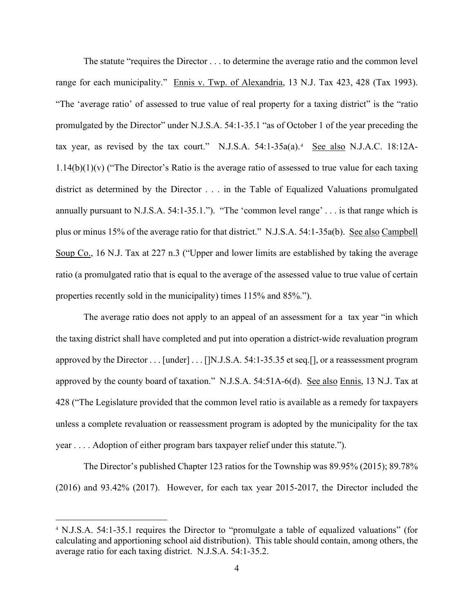The statute "requires the Director . . . to determine the average ratio and the common level range for each municipality." Ennis v. Twp. of Alexandria, 13 N.J. Tax 423, 428 (Tax 1993). "The 'average ratio' of assessed to true value of real property for a taxing district" is the "ratio promulgated by the Director" under N.J.S.A. 54:1-35.1 "as of October 1 of the year preceding the tax year, as revised by the tax court." N.J.S.A. 5[4](#page-3-0):1-35a(a).<sup>4</sup> See also N.J.A.C. 18:12A-1.14(b)(1)(v) ("The Director's Ratio is the average ratio of assessed to true value for each taxing district as determined by the Director . . . in the Table of Equalized Valuations promulgated annually pursuant to N.J.S.A. 54:1-35.1."). "The 'common level range' . . . is that range which is plus or minus 15% of the average ratio for that district." N.J.S.A. 54:1-35a(b). See also Campbell Soup Co., 16 N.J. Tax at 227 n.3 ("Upper and lower limits are established by taking the average ratio (a promulgated ratio that is equal to the average of the assessed value to true value of certain properties recently sold in the municipality) times 115% and 85%.").

The average ratio does not apply to an appeal of an assessment for a tax year "in which the taxing district shall have completed and put into operation a district-wide revaluation program approved by the Director . . . [under] . . . [[N.J.S.A. 54:1-35.35 et seq.[], or a reassessment program approved by the county board of taxation." N.J.S.A. 54:51A-6(d). See also Ennis, 13 N.J. Tax at 428 ("The Legislature provided that the common level ratio is available as a remedy for taxpayers unless a complete revaluation or reassessment program is adopted by the municipality for the tax year . . . . Adoption of either program bars taxpayer relief under this statute.").

The Director's published Chapter 123 ratios for the Township was 89.95% (2015); 89.78% (2016) and 93.42% (2017). However, for each tax year 2015-2017, the Director included the

<span id="page-3-0"></span><sup>4</sup> N.J.S.A. 54:1-35.1 requires the Director to "promulgate a table of equalized valuations" (for calculating and apportioning school aid distribution). This table should contain, among others, the average ratio for each taxing district. N.J.S.A. 54:1-35.2.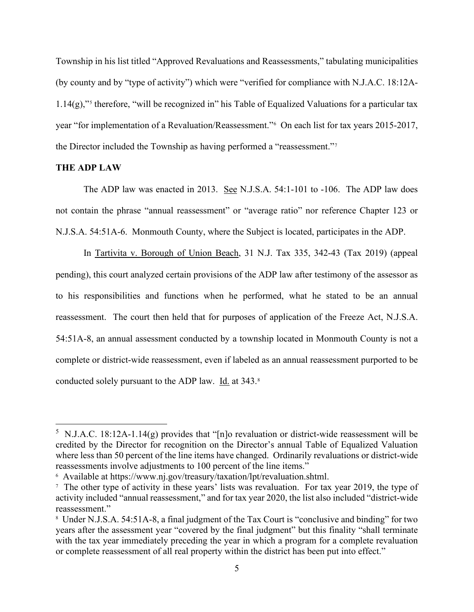Township in his list titled "Approved Revaluations and Reassessments," tabulating municipalities (by county and by "type of activity") which were "verified for compliance with N.J.A.C. 18:12A- $1.14(g)$ ,"<sup>[5](#page-4-0)</sup> therefore, "will be recognized in" his Table of Equalized Valuations for a particular tax year "for implementation of a Revaluation/Reassessment."[6](#page-4-1) On each list for tax years 2015-2017, the Director included the Township as having performed a "reassessment."[7](#page-4-2)

#### **THE ADP LAW**

The ADP law was enacted in 2013. See N.J.S.A. 54:1-101 to -106. The ADP law does not contain the phrase "annual reassessment" or "average ratio" nor reference Chapter 123 or N.J.S.A. 54:51A-6. Monmouth County, where the Subject is located, participates in the ADP.

In Tartivita v. Borough of Union Beach, 31 N.J. Tax 335, 342-43 (Tax 2019) (appeal pending), this court analyzed certain provisions of the ADP law after testimony of the assessor as to his responsibilities and functions when he performed, what he stated to be an annual reassessment. The court then held that for purposes of application of the Freeze Act, N.J.S.A. 54:51A-8, an annual assessment conducted by a township located in Monmouth County is not a complete or district-wide reassessment, even if labeled as an annual reassessment purported to be conducted solely pursuant to the ADP law. Id. at 343.[8](#page-4-3)

<span id="page-4-0"></span><sup>&</sup>lt;sup>5</sup> N.J.A.C. 18:12A-1.14(g) provides that "[n]o revaluation or district-wide reassessment will be credited by the Director for recognition on the Director's annual Table of Equalized Valuation where less than 50 percent of the line items have changed. Ordinarily revaluations or district-wide reassessments involve adjustments to 100 percent of the line items."

<span id="page-4-1"></span><sup>6</sup> Available at https://www.nj.gov/treasury/taxation/lpt/revaluation.shtml.

<span id="page-4-2"></span><sup>&</sup>lt;sup>7</sup> The other type of activity in these years' lists was revaluation. For tax year 2019, the type of activity included "annual reassessment," and for tax year 2020, the list also included "district-wide reassessment."

<span id="page-4-3"></span><sup>8</sup> Under N.J.S.A. 54:51A-8, a final judgment of the Tax Court is "conclusive and binding" for two years after the assessment year "covered by the final judgment" but this finality "shall terminate with the tax year immediately preceding the year in which a program for a complete revaluation or complete reassessment of all real property within the district has been put into effect."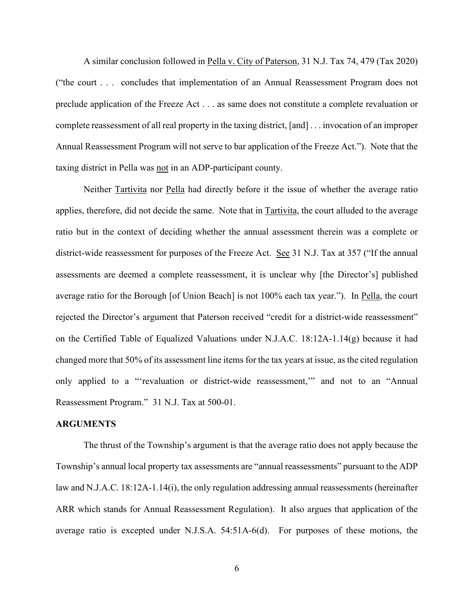A similar conclusion followed in Pella v. City of Paterson, 31 N.J. Tax 74, 479 (Tax 2020) ("the court . . . concludes that implementation of an Annual Reassessment Program does not preclude application of the Freeze Act . . . as same does not constitute a complete revaluation or complete reassessment of all real property in the taxing district, [and] . . . invocation of an improper Annual Reassessment Program will not serve to bar application of the Freeze Act."). Note that the taxing district in Pella was not in an ADP-participant county.

Neither Tartivita nor Pella had directly before it the issue of whether the average ratio applies, therefore, did not decide the same. Note that in Tartivita, the court alluded to the average ratio but in the context of deciding whether the annual assessment therein was a complete or district-wide reassessment for purposes of the Freeze Act. See 31 N.J. Tax at 357 ("If the annual assessments are deemed a complete reassessment, it is unclear why [the Director's] published average ratio for the Borough [of Union Beach] is not 100% each tax year."). In Pella, the court rejected the Director's argument that Paterson received "credit for a district-wide reassessment" on the Certified Table of Equalized Valuations under N.J.A.C. 18:12A-1.14(g) because it had changed more that 50% of its assessment line items for the tax years at issue, as the cited regulation only applied to a "'revaluation or district-wide reassessment,'" and not to an "Annual Reassessment Program." 31 N.J. Tax at 500-01.

### **ARGUMENTS**

The thrust of the Township's argument is that the average ratio does not apply because the Township's annual local property tax assessments are "annual reassessments" pursuant to the ADP law and N.J.A.C. 18:12A-1.14(i), the only regulation addressing annual reassessments (hereinafter ARR which stands for Annual Reassessment Regulation). It also argues that application of the average ratio is excepted under N.J.S.A. 54:51A-6(d). For purposes of these motions, the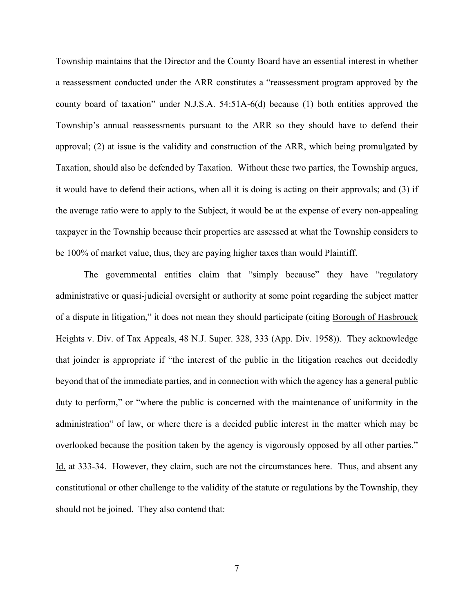Township maintains that the Director and the County Board have an essential interest in whether a reassessment conducted under the ARR constitutes a "reassessment program approved by the county board of taxation" under N.J.S.A. 54:51A-6(d) because (1) both entities approved the Township's annual reassessments pursuant to the ARR so they should have to defend their approval; (2) at issue is the validity and construction of the ARR, which being promulgated by Taxation, should also be defended by Taxation. Without these two parties, the Township argues, it would have to defend their actions, when all it is doing is acting on their approvals; and (3) if the average ratio were to apply to the Subject, it would be at the expense of every non-appealing taxpayer in the Township because their properties are assessed at what the Township considers to be 100% of market value, thus, they are paying higher taxes than would Plaintiff.

The governmental entities claim that "simply because" they have "regulatory administrative or quasi-judicial oversight or authority at some point regarding the subject matter of a dispute in litigation," it does not mean they should participate (citing Borough of Hasbrouck Heights v. Div. of Tax Appeals, 48 N.J. Super. 328, 333 (App. Div. 1958)). They acknowledge that joinder is appropriate if "the interest of the public in the litigation reaches out decidedly beyond that of the immediate parties, and in connection with which the agency has a general public duty to perform," or "where the public is concerned with the maintenance of uniformity in the administration" of law, or where there is a decided public interest in the matter which may be overlooked because the position taken by the agency is vigorously opposed by all other parties." Id. at 333-34. However, they claim, such are not the circumstances here. Thus, and absent any constitutional or other challenge to the validity of the statute or regulations by the Township, they should not be joined. They also contend that: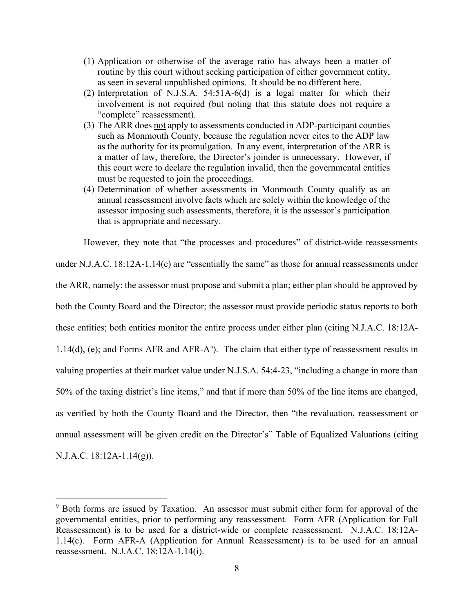- (1) Application or otherwise of the average ratio has always been a matter of routine by this court without seeking participation of either government entity, as seen in several unpublished opinions. It should be no different here.
- (2) Interpretation of N.J.S.A. 54:51A-6(d) is a legal matter for which their involvement is not required (but noting that this statute does not require a "complete" reassessment).
- (3) The ARR does not apply to assessments conducted in ADP-participant counties such as Monmouth County, because the regulation never cites to the ADP law as the authority for its promulgation. In any event, interpretation of the ARR is a matter of law, therefore, the Director's joinder is unnecessary. However, if this court were to declare the regulation invalid, then the governmental entities must be requested to join the proceedings.
- (4) Determination of whether assessments in Monmouth County qualify as an annual reassessment involve facts which are solely within the knowledge of the assessor imposing such assessments, therefore, it is the assessor's participation that is appropriate and necessary.

However, they note that "the processes and procedures" of district-wide reassessments under N.J.A.C. 18:12A-1.14(c) are "essentially the same" as those for annual reassessments under the ARR, namely: the assessor must propose and submit a plan; either plan should be approved by both the County Board and the Director; the assessor must provide periodic status reports to both these entities; both entities monitor the entire process under either plan (citing N.J.A.C. 18:12A- $1.14(d)$ , (e); and Forms AFR and AFR-A<sup>[9](#page-7-0)</sup>). The claim that either type of reassessment results in valuing properties at their market value under N.J.S.A. 54:4-23, "including a change in more than 50% of the taxing district's line items," and that if more than 50% of the line items are changed, as verified by both the County Board and the Director, then "the revaluation, reassessment or annual assessment will be given credit on the Director's" Table of Equalized Valuations (citing N.J.A.C. 18:12A-1.14(g)).

<span id="page-7-0"></span><sup>&</sup>lt;sup>9</sup> Both forms are issued by Taxation. An assessor must submit either form for approval of the governmental entities, prior to performing any reassessment. Form AFR (Application for Full Reassessment) is to be used for a district-wide or complete reassessment. N.J.A.C. 18:12A-1.14(c). Form AFR-A (Application for Annual Reassessment) is to be used for an annual reassessment. N.J.A.C. 18:12A-1.14(i).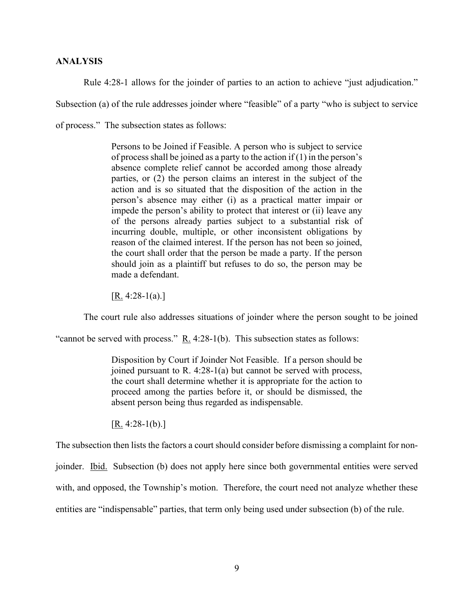#### **ANALYSIS**

Rule 4:28-1 allows for the joinder of parties to an action to achieve "just adjudication."

Subsection (a) of the rule addresses joinder where "feasible" of a party "who is subject to service

of process." The subsection states as follows:

Persons to be Joined if Feasible. A person who is subject to service of process shall be joined as a party to the action if  $(1)$  in the person's absence complete relief cannot be accorded among those already parties, or (2) the person claims an interest in the subject of the action and is so situated that the disposition of the action in the person's absence may either (i) as a practical matter impair or impede the person's ability to protect that interest or (ii) leave any of the persons already parties subject to a substantial risk of incurring double, multiple, or other inconsistent obligations by reason of the claimed interest. If the person has not been so joined, the court shall order that the person be made a party. If the person should join as a plaintiff but refuses to do so, the person may be made a defendant.

 $[\underline{R}$ . 4:28-1(a).]

The court rule also addresses situations of joinder where the person sought to be joined

"cannot be served with process." R. 4:28-1(b). This subsection states as follows:

Disposition by Court if Joinder Not Feasible. If a person should be joined pursuant to R. 4:28-1(a) but cannot be served with process, the court shall determine whether it is appropriate for the action to proceed among the parties before it, or should be dismissed, the absent person being thus regarded as indispensable.

 $[R. 4:28-1(b).]$ 

The subsection then lists the factors a court should consider before dismissing a complaint for non-

joinder. Ibid. Subsection (b) does not apply here since both governmental entities were served

with, and opposed, the Township's motion. Therefore, the court need not analyze whether these

entities are "indispensable" parties, that term only being used under subsection (b) of the rule.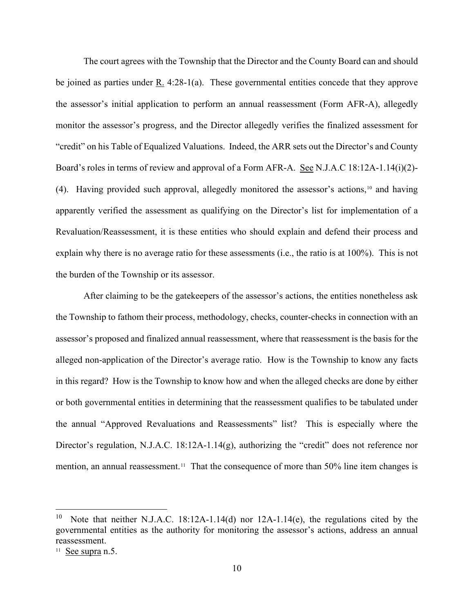The court agrees with the Township that the Director and the County Board can and should be joined as parties under R. 4:28-1(a). These governmental entities concede that they approve the assessor's initial application to perform an annual reassessment (Form AFR-A), allegedly monitor the assessor's progress, and the Director allegedly verifies the finalized assessment for "credit" on his Table of Equalized Valuations. Indeed, the ARR sets out the Director's and County Board's roles in terms of review and approval of a Form AFR-A. See N.J.A.C 18:12A-1.14(i)(2)- (4). Having provided such approval, allegedly monitored the assessor's actions, [10](#page-9-0) and having apparently verified the assessment as qualifying on the Director's list for implementation of a Revaluation/Reassessment, it is these entities who should explain and defend their process and explain why there is no average ratio for these assessments (i.e., the ratio is at 100%). This is not the burden of the Township or its assessor.

After claiming to be the gatekeepers of the assessor's actions, the entities nonetheless ask the Township to fathom their process, methodology, checks, counter-checks in connection with an assessor's proposed and finalized annual reassessment, where that reassessment is the basis for the alleged non-application of the Director's average ratio. How is the Township to know any facts in this regard? How is the Township to know how and when the alleged checks are done by either or both governmental entities in determining that the reassessment qualifies to be tabulated under the annual "Approved Revaluations and Reassessments" list? This is especially where the Director's regulation, N.J.A.C. 18:12A-1.14(g), authorizing the "credit" does not reference nor mention, an annual reassessment.<sup>11</sup> That the consequence of more than 50% line item changes is

<span id="page-9-0"></span><sup>&</sup>lt;sup>10</sup> Note that neither N.J.A.C. 18:12A-1.14(d) nor 12A-1.14(e), the regulations cited by the governmental entities as the authority for monitoring the assessor's actions, address an annual reassessment.

<span id="page-9-1"></span> $11$  See supra n.5.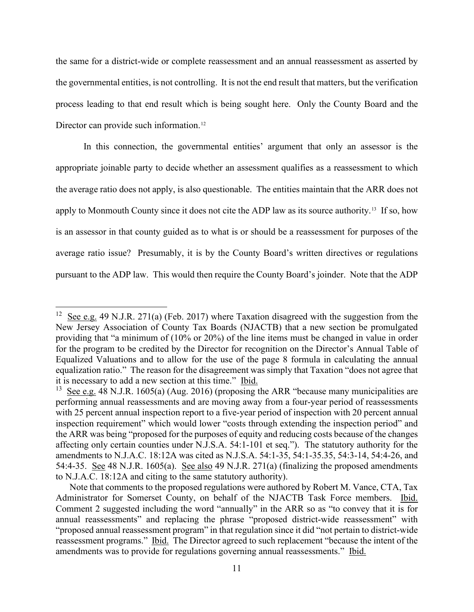the same for a district-wide or complete reassessment and an annual reassessment as asserted by the governmental entities, is not controlling. It is not the end result that matters, but the verification process leading to that end result which is being sought here. Only the County Board and the Director can provide such information.<sup>[12](#page-10-0)</sup>

In this connection, the governmental entities' argument that only an assessor is the appropriate joinable party to decide whether an assessment qualifies as a reassessment to which the average ratio does not apply, is also questionable. The entities maintain that the ARR does not apply to Monmouth County since it does not cite the ADP law as its source authority.<sup>[13](#page-10-1)</sup> If so, how is an assessor in that county guided as to what is or should be a reassessment for purposes of the average ratio issue? Presumably, it is by the County Board's written directives or regulations pursuant to the ADP law. This would then require the County Board's joinder. Note that the ADP

<span id="page-10-0"></span><sup>&</sup>lt;sup>12</sup> See e.g. 49 N.J.R. 271(a) (Feb. 2017) where Taxation disagreed with the suggestion from the New Jersey Association of County Tax Boards (NJACTB) that a new section be promulgated providing that "a minimum of (10% or 20%) of the line items must be changed in value in order for the program to be credited by the Director for recognition on the Director's Annual Table of Equalized Valuations and to allow for the use of the page 8 formula in calculating the annual equalization ratio." The reason for the disagreement was simply that Taxation "does not agree that it is necessary to add a new section at this time." Ibid.

<span id="page-10-1"></span><sup>&</sup>lt;sup>13</sup> See e.g. 48 N.J.R. 1605(a) (Aug. 2016) (proposing the ARR "because many municipalities are performing annual reassessments and are moving away from a four-year period of reassessments with 25 percent annual inspection report to a five-year period of inspection with 20 percent annual inspection requirement" which would lower "costs through extending the inspection period" and the ARR was being "proposed for the purposes of equity and reducing costs because of the changes affecting only certain counties under N.J.S.A. 54:1-101 et seq."). The statutory authority for the amendments to N.J.A.C. 18:12A was cited as N.J.S.A. 54:1-35, 54:1-35.35, 54:3-14, 54:4-26, and 54:4-35. See 48 N.J.R. 1605(a). See also 49 N.J.R. 271(a) (finalizing the proposed amendments to N.J.A.C. 18:12A and citing to the same statutory authority).

Note that comments to the proposed regulations were authored by Robert M. Vance, CTA, Tax Administrator for Somerset County, on behalf of the NJACTB Task Force members. Ibid. Comment 2 suggested including the word "annually" in the ARR so as "to convey that it is for annual reassessments" and replacing the phrase "proposed district-wide reassessment" with "proposed annual reassessment program" in that regulation since it did "not pertain to district-wide reassessment programs." Ibid. The Director agreed to such replacement "because the intent of the amendments was to provide for regulations governing annual reassessments." Ibid.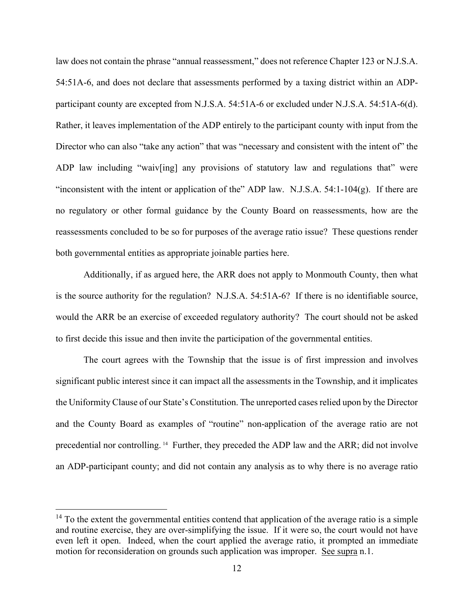law does not contain the phrase "annual reassessment," does not reference Chapter 123 or N.J.S.A. 54:51A-6, and does not declare that assessments performed by a taxing district within an ADPparticipant county are excepted from N.J.S.A. 54:51A-6 or excluded under N.J.S.A. 54:51A-6(d). Rather, it leaves implementation of the ADP entirely to the participant county with input from the Director who can also "take any action" that was "necessary and consistent with the intent of" the ADP law including "waiv[ing] any provisions of statutory law and regulations that" were "inconsistent with the intent or application of the" ADP law. N.J.S.A.  $54:1-104(g)$ . If there are no regulatory or other formal guidance by the County Board on reassessments, how are the reassessments concluded to be so for purposes of the average ratio issue? These questions render both governmental entities as appropriate joinable parties here.

Additionally, if as argued here, the ARR does not apply to Monmouth County, then what is the source authority for the regulation? N.J.S.A. 54:51A-6? If there is no identifiable source, would the ARR be an exercise of exceeded regulatory authority? The court should not be asked to first decide this issue and then invite the participation of the governmental entities.

The court agrees with the Township that the issue is of first impression and involves significant public interest since it can impact all the assessments in the Township, and it implicates the Uniformity Clause of our State's Constitution. The unreported cases relied upon by the Director and the County Board as examples of "routine" non-application of the average ratio are not precedential nor controlling. [14](#page-11-0) Further, they preceded the ADP law and the ARR; did not involve an ADP-participant county; and did not contain any analysis as to why there is no average ratio

<span id="page-11-0"></span> $14$  To the extent the governmental entities contend that application of the average ratio is a simple and routine exercise, they are over-simplifying the issue. If it were so, the court would not have even left it open. Indeed, when the court applied the average ratio, it prompted an immediate motion for reconsideration on grounds such application was improper. See supra n.1.